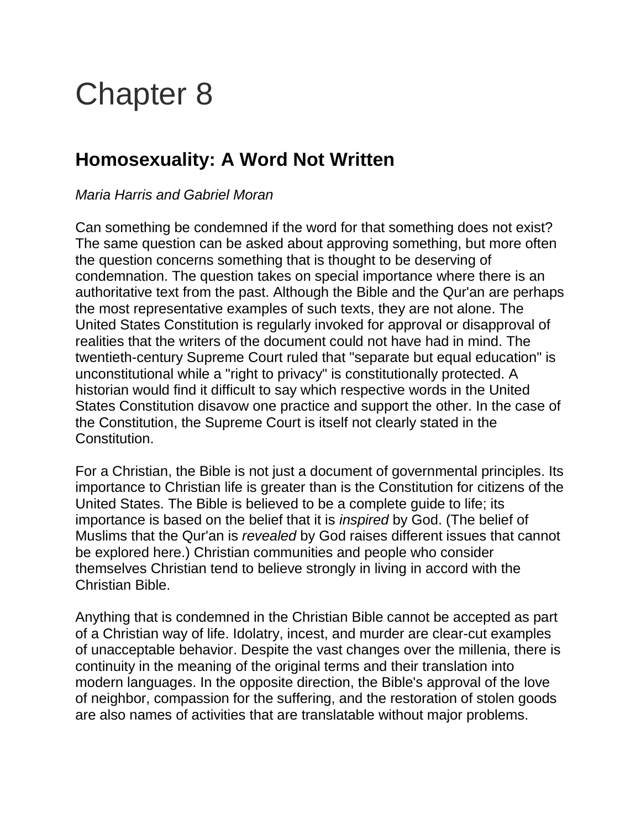## Chapter 8

## **Homosexuality: A Word Not Written**

## *Maria Harris and Gabriel Moran*

Can something be condemned if the word for that something does not exist? The same question can be asked about approving something, but more often the question concerns something that is thought to be deserving of condemnation. The question takes on special importance where there is an authoritative text from the past. Although the Bible and the Qur'an are perhaps the most representative examples of such texts, they are not alone. The United States Constitution is regularly invoked for approval or disapproval of realities that the writers of the document could not have had in mind. The twentieth-century Supreme Court ruled that "separate but equal education" is unconstitutional while a "right to privacy" is constitutionally protected. A historian would find it difficult to say which respective words in the United States Constitution disavow one practice and support the other. In the case of the Constitution, the Supreme Court is itself not clearly stated in the Constitution.

For a Christian, the Bible is not just a document of governmental principles. Its importance to Christian life is greater than is the Constitution for citizens of the United States. The Bible is believed to be a complete guide to life; its importance is based on the belief that it is *inspired* by God. (The belief of Muslims that the Qur'an is *revealed* by God raises different issues that cannot be explored here.) Christian communities and people who consider themselves Christian tend to believe strongly in living in accord with the Christian Bible.

Anything that is condemned in the Christian Bible cannot be accepted as part of a Christian way of life. Idolatry, incest, and murder are clear-cut examples of unacceptable behavior. Despite the vast changes over the millenia, there is continuity in the meaning of the original terms and their translation into modern languages. In the opposite direction, the Bible's approval of the love of neighbor, compassion for the suffering, and the restoration of stolen goods are also names of activities that are translatable without major problems.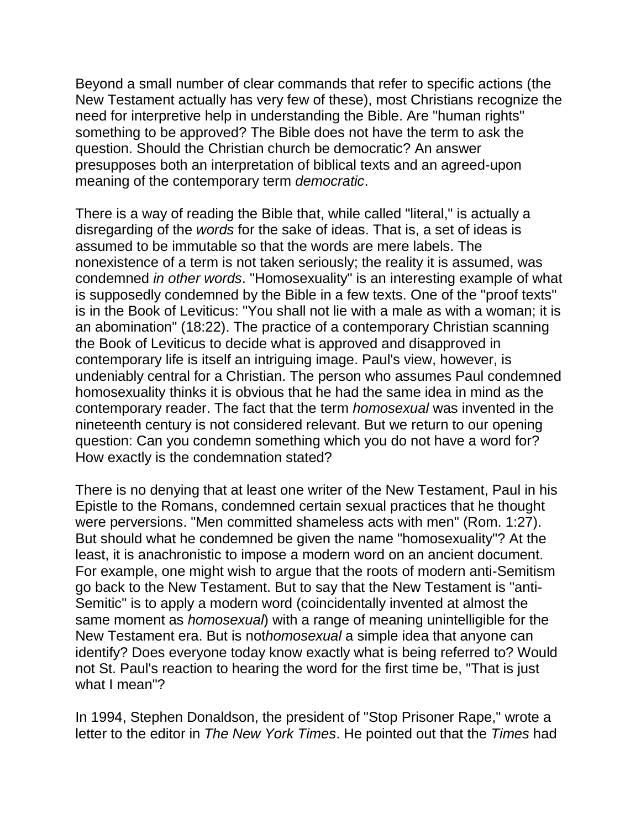Beyond a small number of clear commands that refer to specific actions (the New Testament actually has very few of these), most Christians recognize the need for interpretive help in understanding the Bible. Are "human rights" something to be approved? The Bible does not have the term to ask the question. Should the Christian church be democratic? An answer presupposes both an interpretation of biblical texts and an agreed-upon meaning of the contemporary term *democratic*.

There is a way of reading the Bible that, while called "literal," is actually a disregarding of the *words* for the sake of ideas. That is, a set of ideas is assumed to be immutable so that the words are mere labels. The nonexistence of a term is not taken seriously; the reality it is assumed, was condemned *in other words*. "Homosexuality" is an interesting example of what is supposedly condemned by the Bible in a few texts. One of the "proof texts" is in the Book of Leviticus: "You shall not lie with a male as with a woman; it is an abomination" (18:22). The practice of a contemporary Christian scanning the Book of Leviticus to decide what is approved and disapproved in contemporary life is itself an intriguing image. Paul's view, however, is undeniably central for a Christian. The person who assumes Paul condemned homosexuality thinks it is obvious that he had the same idea in mind as the contemporary reader. The fact that the term *homosexual* was invented in the nineteenth century is not considered relevant. But we return to our opening question: Can you condemn something which you do not have a word for? How exactly is the condemnation stated?

There is no denying that at least one writer of the New Testament, Paul in his Epistle to the Romans, condemned certain sexual practices that he thought were perversions. "Men committed shameless acts with men" (Rom. 1:27). But should what he condemned be given the name "homosexuality"? At the least, it is anachronistic to impose a modern word on an ancient document. For example, one might wish to argue that the roots of modern anti-Semitism go back to the New Testament. But to say that the New Testament is "anti-Semitic" is to apply a modern word (coincidentally invented at almost the same moment as *homosexual*) with a range of meaning unintelligible for the New Testament era. But is not*homosexual* a simple idea that anyone can identify? Does everyone today know exactly what is being referred to? Would not St. Paul's reaction to hearing the word for the first time be, "That is just what I mean"?

In 1994, Stephen Donaldson, the president of "Stop Prisoner Rape," wrote a letter to the editor in *The New York Times*. He pointed out that the *Times* had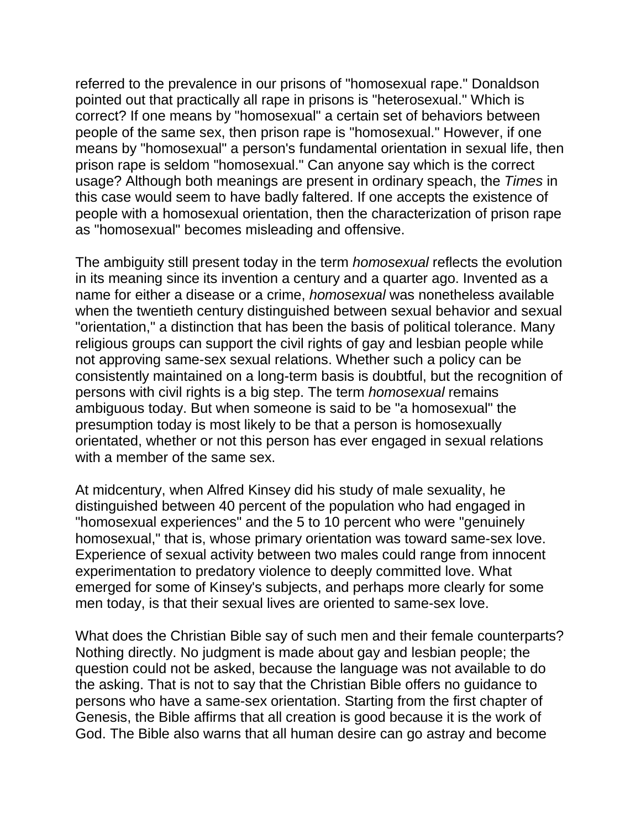referred to the prevalence in our prisons of "homosexual rape." Donaldson pointed out that practically all rape in prisons is "heterosexual." Which is correct? If one means by "homosexual" a certain set of behaviors between people of the same sex, then prison rape is "homosexual." However, if one means by "homosexual" a person's fundamental orientation in sexual life, then prison rape is seldom "homosexual." Can anyone say which is the correct usage? Although both meanings are present in ordinary speach, the *Times* in this case would seem to have badly faltered. If one accepts the existence of people with a homosexual orientation, then the characterization of prison rape as "homosexual" becomes misleading and offensive.

The ambiguity still present today in the term *homosexual* reflects the evolution in its meaning since its invention a century and a quarter ago. Invented as a name for either a disease or a crime, *homosexual* was nonetheless available when the twentieth century distinguished between sexual behavior and sexual "orientation," a distinction that has been the basis of political tolerance. Many religious groups can support the civil rights of gay and lesbian people while not approving same-sex sexual relations. Whether such a policy can be consistently maintained on a long-term basis is doubtful, but the recognition of persons with civil rights is a big step. The term *homosexual* remains ambiguous today. But when someone is said to be "a homosexual" the presumption today is most likely to be that a person is homosexually orientated, whether or not this person has ever engaged in sexual relations with a member of the same sex.

At midcentury, when Alfred Kinsey did his study of male sexuality, he distinguished between 40 percent of the population who had engaged in "homosexual experiences" and the 5 to 10 percent who were "genuinely homosexual," that is, whose primary orientation was toward same-sex love. Experience of sexual activity between two males could range from innocent experimentation to predatory violence to deeply committed love. What emerged for some of Kinsey's subjects, and perhaps more clearly for some men today, is that their sexual lives are oriented to same-sex love.

What does the Christian Bible say of such men and their female counterparts? Nothing directly. No judgment is made about gay and lesbian people; the question could not be asked, because the language was not available to do the asking. That is not to say that the Christian Bible offers no guidance to persons who have a same-sex orientation. Starting from the first chapter of Genesis, the Bible affirms that all creation is good because it is the work of God. The Bible also warns that all human desire can go astray and become